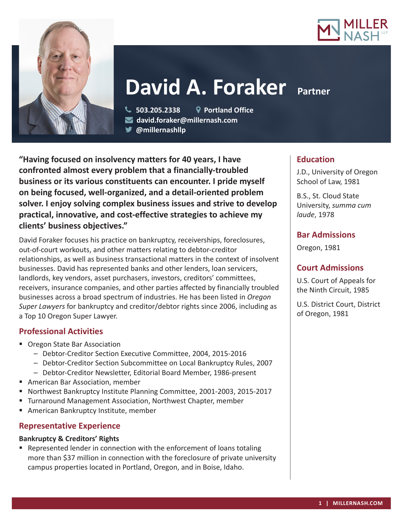



# **David A. Foraker Partner**

 **503.205.2338 Portland Office david.foraker@millernash.com** 

**@millernashllp** 

**"Having focused on insolvency matters for 40 years, I have confronted almost every problem that a financially-troubled business or its various constituents can encounter. I pride myself on being focused, well-organized, and a detail-oriented problem solver. I enjoy solving complex business issues and strive to develop practical, innovative, and cost-effective strategies to achieve my clients' business objectives."**

David Foraker focuses his practice on bankruptcy, receiverships, foreclosures, out-of-court workouts, and other matters relating to debtor-creditor relationships, as well as business transactional matters in the context of insolvent businesses. David has represented banks and other lenders, loan servicers, landlords, key vendors, asset purchasers, investors, creditors' committees, receivers, insurance companies, and other parties affected by financially troubled businesses across a broad spectrum of industries. He has been listed in *Oregon Super Lawyers* for bankruptcy and creditor/debtor rights since 2006, including as a Top 10 Oregon Super Lawyer.

# **Professional Activities**

- **Oregon State Bar Association** 
	- Debtor-Creditor Section Executive Committee, 2004, 2015-2016
	- Debtor-Creditor Section Subcommittee on Local Bankruptcy Rules, 2007
	- Debtor-Creditor Newsletter, Editorial Board Member, 1986-present
- American Bar Association, member
- Northwest Bankruptcy Institute Planning Committee, 2001-2003, 2015-2017
- **Turnaround Management Association, Northwest Chapter, member**
- **American Bankruptcy Institute, member**

# **Representative Experience**

#### **Bankruptcy & Creditors' Rights**

 Represented lender in connection with the enforcement of loans totaling more than \$37 million in connection with the foreclosure of private university campus properties located in Portland, Oregon, and in Boise, Idaho.

## **Education**

J.D., University of Oregon School of Law, 1981

B.S., St. Cloud State University, *summa cum laude*, 1978

## **Bar Admissions**

Oregon, 1981

### **Court Admissions**

U.S. Court of Appeals for the Ninth Circuit, 1985

U.S. District Court, District of Oregon, 1981